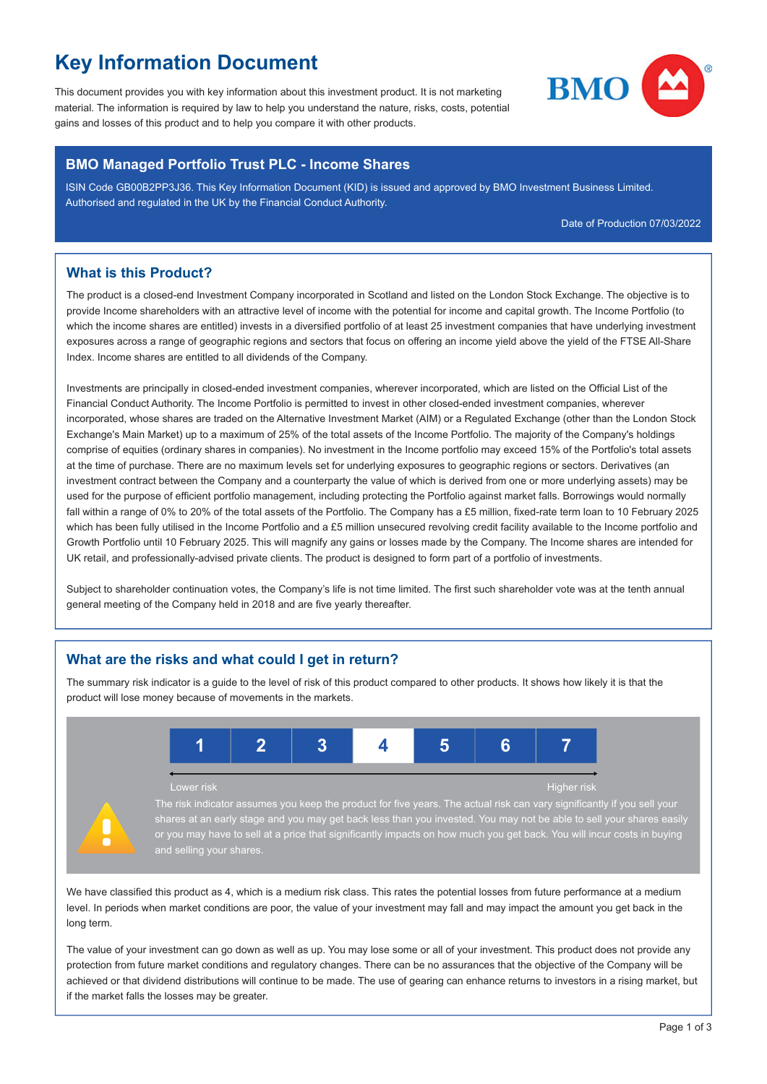# **Key Information Document**

This document provides you with key information about this investment product. It is not marketing material. The information is required by law to help you understand the nature, risks, costs, potential gains and losses of this product and to help you compare it with other products.



#### **BMO Managed Portfolio Trust PLC - Income Shares**

ISIN Code GB00B2PP3J36. This Key Information Document (KID) is issued and approved by BMO Investment Business Limited. Authorised and regulated in the UK by the Financial Conduct Authority.

Date of Production 07/03/2022

### **What is this Product?**

The product is a closed-end Investment Company incorporated in Scotland and listed on the London Stock Exchange. The objective is to provide Income shareholders with an attractive level of income with the potential for income and capital growth. The Income Portfolio (to which the income shares are entitled) invests in a diversified portfolio of at least 25 investment companies that have underlying investment exposures across a range of geographic regions and sectors that focus on offering an income yield above the yield of the FTSE All-Share Index. Income shares are entitled to all dividends of the Company.

Investments are principally in closed-ended investment companies, wherever incorporated, which are listed on the Official List of the Financial Conduct Authority. The Income Portfolio is permitted to invest in other closed-ended investment companies, wherever incorporated, whose shares are traded on the Alternative Investment Market (AIM) or a Regulated Exchange (other than the London Stock Exchange's Main Market) up to a maximum of 25% of the total assets of the Income Portfolio. The majority of the Company's holdings comprise of equities (ordinary shares in companies). No investment in the Income portfolio may exceed 15% of the Portfolio's total assets at the time of purchase. There are no maximum levels set for underlying exposures to geographic regions or sectors. Derivatives (an investment contract between the Company and a counterparty the value of which is derived from one or more underlying assets) may be used for the purpose of efficient portfolio management, including protecting the Portfolio against market falls. Borrowings would normally fall within a range of 0% to 20% of the total assets of the Portfolio. The Company has a £5 million, fixed-rate term loan to 10 February 2025 which has been fully utilised in the Income Portfolio and a £5 million unsecured revolving credit facility available to the Income portfolio and Growth Portfolio until 10 February 2025. This will magnify any gains or losses made by the Company. The Income shares are intended for UK retail, and professionally-advised private clients. The product is designed to form part of a portfolio of investments.

Subject to shareholder continuation votes, the Company's life is not time limited. The first such shareholder vote was at the tenth annual general meeting of the Company held in 2018 and are five yearly thereafter.

## **What are the risks and what could I get in return?**

The summary risk indicator is a guide to the level of risk of this product compared to other products. It shows how likely it is that the product will lose money because of movements in the markets.



We have classified this product as 4, which is a medium risk class. This rates the potential losses from future performance at a medium level. In periods when market conditions are poor, the value of your investment may fall and may impact the amount you get back in the long term.

The value of your investment can go down as well as up. You may lose some or all of your investment. This product does not provide any protection from future market conditions and regulatory changes. There can be no assurances that the objective of the Company will be achieved or that dividend distributions will continue to be made. The use of gearing can enhance returns to investors in a rising market, but if the market falls the losses may be greater.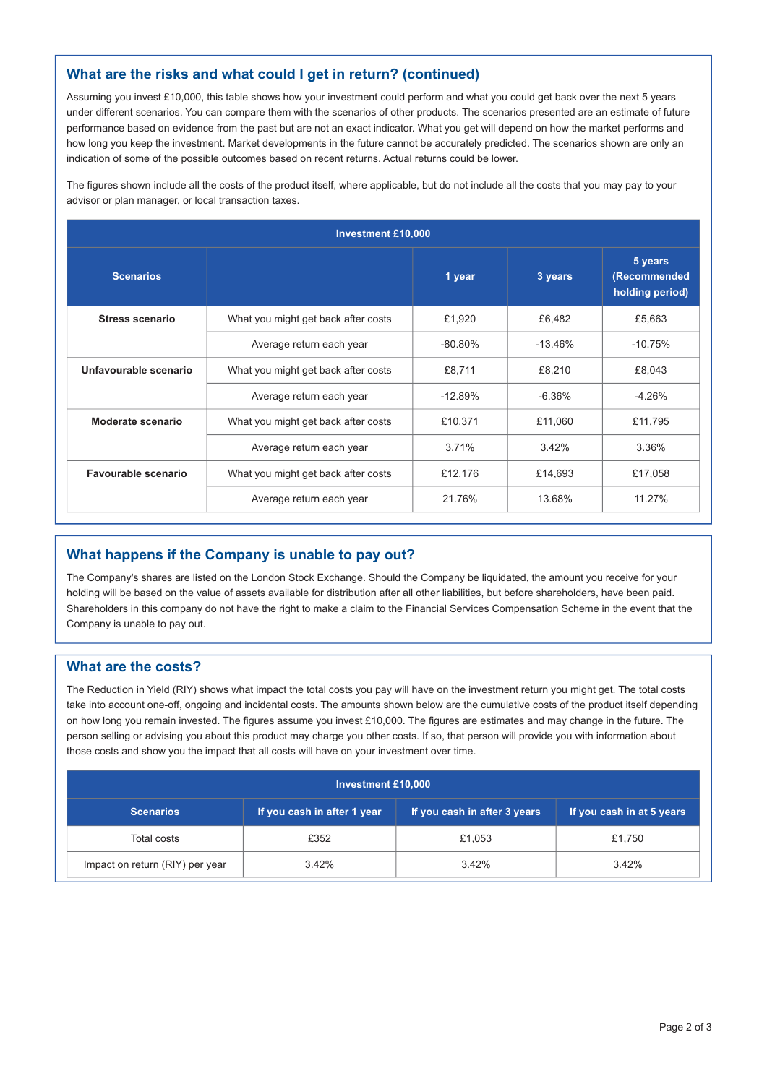## **What are the risks and what could I get in return? (continued)**

Assuming you invest £10,000, this table shows how your investment could perform and what you could get back over the next 5 years under different scenarios. You can compare them with the scenarios of other products. The scenarios presented are an estimate of future performance based on evidence from the past but are not an exact indicator. What you get will depend on how the market performs and how long you keep the investment. Market developments in the future cannot be accurately predicted. The scenarios shown are only an indication of some of the possible outcomes based on recent returns. Actual returns could be lower.

The figures shown include all the costs of the product itself, where applicable, but do not include all the costs that you may pay to your advisor or plan manager, or local transaction taxes.

| <b>Investment £10,000</b> |                                     |            |           |                                            |  |  |  |
|---------------------------|-------------------------------------|------------|-----------|--------------------------------------------|--|--|--|
| <b>Scenarios</b>          |                                     | 1 year     | 3 years   | 5 years<br>(Recommended<br>holding period) |  |  |  |
| <b>Stress scenario</b>    | What you might get back after costs | £1,920     | £6,482    | £5,663                                     |  |  |  |
|                           | Average return each year            | $-80.80\%$ | $-13.46%$ | $-10.75%$                                  |  |  |  |
| Unfavourable scenario     | What you might get back after costs | £8,711     | £8,210    | £8,043                                     |  |  |  |
|                           | Average return each year            | $-12.89%$  | $-6.36%$  | $-4.26%$                                   |  |  |  |
| Moderate scenario         | What you might get back after costs | £10,371    | £11,060   | £11,795                                    |  |  |  |
|                           | Average return each year            | 3.71%      | 3.42%     | 3.36%                                      |  |  |  |
| Favourable scenario       | What you might get back after costs | £12,176    | £14,693   | £17,058                                    |  |  |  |
|                           | Average return each year            | 21.76%     | 13.68%    | 11.27%                                     |  |  |  |

## **What happens if the Company is unable to pay out?**

The Company's shares are listed on the London Stock Exchange. Should the Company be liquidated, the amount you receive for your holding will be based on the value of assets available for distribution after all other liabilities, but before shareholders, have been paid. Shareholders in this company do not have the right to make a claim to the Financial Services Compensation Scheme in the event that the Company is unable to pay out.

#### **What are the costs?**

The Reduction in Yield (RIY) shows what impact the total costs you pay will have on the investment return you might get. The total costs take into account one-off, ongoing and incidental costs. The amounts shown below are the cumulative costs of the product itself depending on how long you remain invested. The figures assume you invest £10,000. The figures are estimates and may change in the future. The person selling or advising you about this product may charge you other costs. If so, that person will provide you with information about those costs and show you the impact that all costs will have on your investment over time.

| <b>Investment £10,000</b>                |                             |                              |                           |  |  |  |
|------------------------------------------|-----------------------------|------------------------------|---------------------------|--|--|--|
| <b>Scenarios</b>                         | If you cash in after 1 year | If you cash in after 3 years | If you cash in at 5 years |  |  |  |
| Total costs                              | £352                        | £1,053                       | £1,750                    |  |  |  |
| Impact on return (RIY) per year<br>3.42% |                             | 3.42%                        | 3.42%                     |  |  |  |